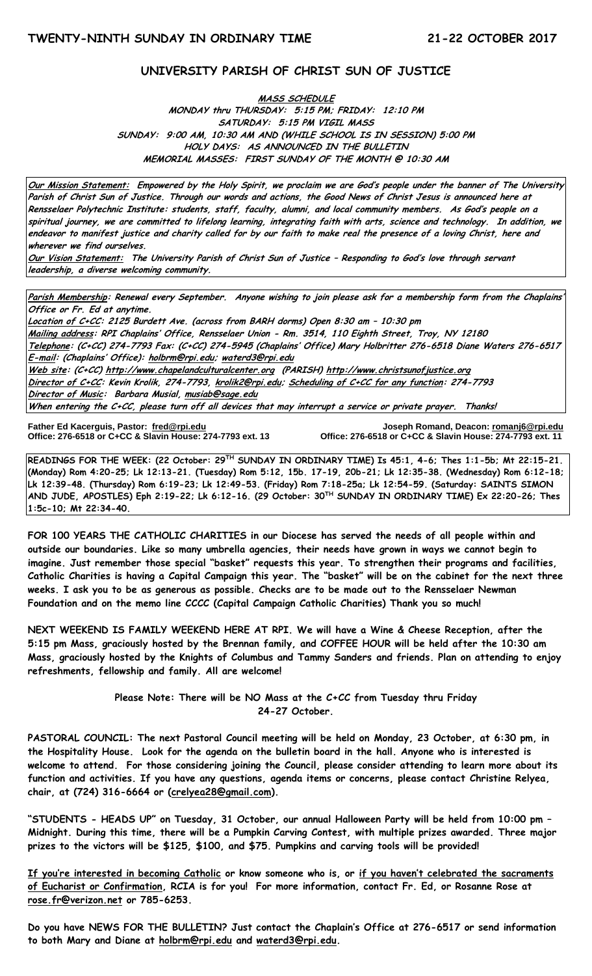#### **UNIVERSITY PARISH OF CHRIST SUN OF JUSTICE**

#### **MASS SCHEDULE MONDAY thru THURSDAY: 5:15 PM; FRIDAY: 12:10 PM SATURDAY: 5:15 PM VIGIL MASS SUNDAY: 9:00 AM, 10:30 AM AND (WHILE SCHOOL IS IN SESSION) 5:00 PM HOLY DAYS: AS ANNOUNCED IN THE BULLETIN MEMORIAL MASSES: FIRST SUNDAY OF THE MONTH @ 10:30 AM**

**Our Mission Statement: Empowered by the Holy Spirit, we proclaim we are God's people under the banner of The University Parish of Christ Sun of Justice. Through our words and actions, the Good News of Christ Jesus is announced here at Rensselaer Polytechnic Institute: students, staff, faculty, alumni, and local community members. As God's people on a spiritual journey, we are committed to lifelong learning, integrating faith with arts, science and technology. In addition, we endeavor to manifest justice and charity called for by our faith to make real the presence of a loving Christ, here and wherever we find ourselves.**

**Our Vision Statement: The University Parish of Christ Sun of Justice – Responding to God's love through servant leadership, a diverse welcoming community.**

**Parish Membership: Renewal every September. Anyone wishing to join please ask for a membership form from the Chaplains' Office or Fr. Ed at anytime.**

**Location of C+CC: 2125 Burdett Ave. (across from BARH dorms) Open 8:30 am – 10:30 pm Mailing address: RPI Chaplains' Office, Rensselaer Union - Rm. 3514, 110 Eighth Street, Troy, NY 12180 Telephone: (C+CC) 274-7793 Fax: (C+CC) 274-5945 (Chaplains' Office) Mary Holbritter 276-6518 Diane Waters 276-6517 E-mail: (Chaplains' Office): [holbrm@rpi.edu;](mailto:holbrm@rpi.edu) waterd3@rpi.edu Web site: (C+CC[\) http://www.chapelandculturalcenter.org](http://www.chapelandculturalcenter.org/) (PARISH) http://www.christsunofjustice.org Director of C+CC: Kevin Krolik, 274-7793, krolik2@rpi.edu; Scheduling of C+CC for any function: 274-7793 Director of Music: Barbara Musial, [musiab@sage.edu](mailto:musiab@sage.edu) When entering the C+CC, please turn off all devices that may interrupt a service or private prayer. Thanks!** 

İ

**Father Ed Kacerguis, Pastor: [fred@rpi.edu](mailto:fred@rpi.edu) Joseph Romand, Deacon[: romanj6@rpi.edu](mailto:romanj6@rpi.edu) Office: 276-6518 or C+CC & Slavin House: 274-7793 ext. 13 Office: 276-6518 or C+CC & Slavin House: 274-7793 ext. 11**

**READINGS FOR THE WEEK: (22 October: 29TH SUNDAY IN ORDINARY TIME) Is 45:1, 4-6; Thes 1:1-5b; Mt 22:15-21. (Monday) Rom 4:20-25; Lk 12:13-21. (Tuesday) Rom 5:12, 15b. 17-19, 20b-21; Lk 12:35-38. (Wednesday) Rom 6:12-18; Lk 12:39-48. (Thursday) Rom 6:19-23; Lk 12:49-53. (Friday) Rom 7:18-25a; Lk 12:54-59. (Saturday: SAINTS SIMON AND JUDE, APOSTLES) Eph 2:19-22; Lk 6:12-16. (29 October: 30TH SUNDAY IN ORDINARY TIME) Ex 22:20-26; Thes 1:5c-10; Mt 22:34-40.** 

**FOR 100 YEARS THE CATHOLIC CHARITIES in our Diocese has served the needs of all people within and outside our boundaries. Like so many umbrella agencies, their needs have grown in ways we cannot begin to imagine. Just remember those special "basket" requests this year. To strengthen their programs and facilities, Catholic Charities is having a Capital Campaign this year. The "basket" will be on the cabinet for the next three weeks. I ask you to be as generous as possible. Checks are to be made out to the Rensselaer Newman Foundation and on the memo line CCCC (Capital Campaign Catholic Charities) Thank you so much!** 

**NEXT WEEKEND IS FAMILY WEEKEND HERE AT RPI. We will have a Wine & Cheese Reception, after the 5:15 pm Mass, graciously hosted by the Brennan family, and COFFEE HOUR will be held after the 10:30 am Mass, graciously hosted by the Knights of Columbus and Tammy Sanders and friends. Plan on attending to enjoy refreshments, fellowship and family. All are welcome!**

> **Please Note: There will be NO Mass at the C+CC from Tuesday thru Friday 24-27 October.**

**PASTORAL COUNCIL: The next Pastoral Council meeting will be held on Monday, 23 October, at 6:30 pm, in the Hospitality House. Look for the agenda on the bulletin board in the hall. Anyone who is interested is welcome to attend. For those considering joining the Council, please consider attending to learn more about its function and activities. If you have any questions, agenda items or concerns, please contact Christine Relyea, chair, at (724) 316-6664 or [\(crelyea28@gmail.com\)](mailto:crelyea28@gmail.com).**

**"STUDENTS - HEADS UP" on Tuesday, 31 October, our annual Halloween Party will be held from 10:00 pm – Midnight. During this time, there will be a Pumpkin Carving Contest, with multiple prizes awarded. Three major prizes to the victors will be \$125, \$100, and \$75. Pumpkins and carving tools will be provided!** 

**If you're interested in becoming Catholic or know someone who is, or if you haven't celebrated the sacraments of Eucharist or Confirmation, RCIA is for you! For more information, contact Fr. Ed, or Rosanne Rose at [rose.fr@verizon.net](mailto:rose.fr@verizon.net) or 785-6253.**

**Do you have NEWS FOR THE BULLETIN? Just contact the Chaplain's Office at 276-6517 or send information to both Mary and Diane at holbrm@rpi.edu and [waterd3@rpi.edu.](mailto:waterd3@rpi.edu)**